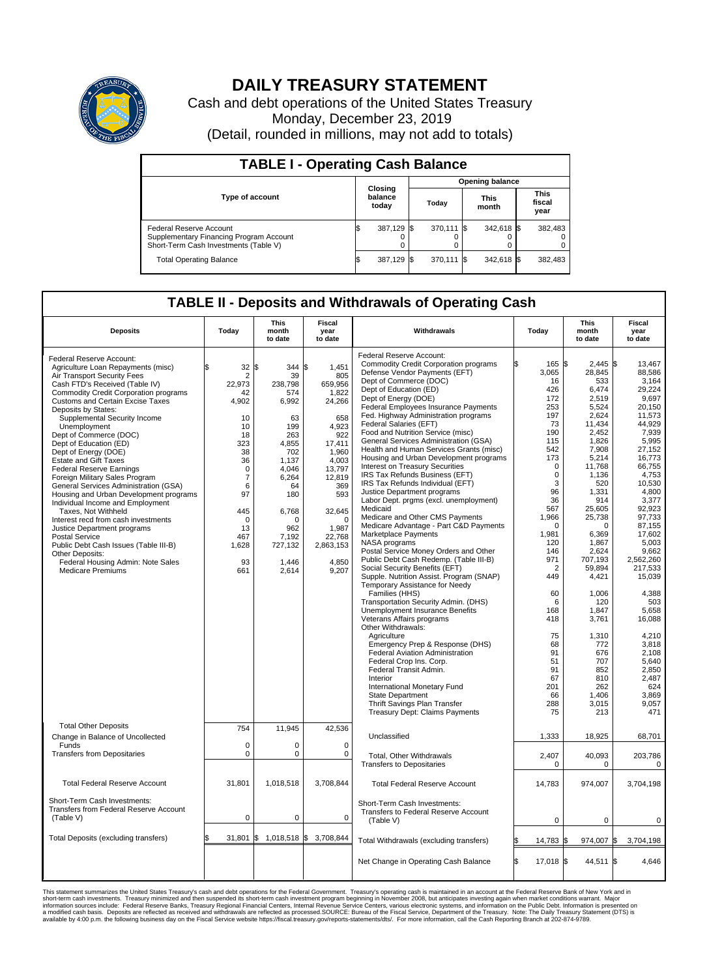

## **DAILY TREASURY STATEMENT**

Cash and debt operations of the United States Treasury Monday, December 23, 2019 (Detail, rounded in millions, may not add to totals)

| <b>TABLE I - Operating Cash Balance</b>                                                                            |    |                             |  |                        |  |                      |  |                               |  |  |
|--------------------------------------------------------------------------------------------------------------------|----|-----------------------------|--|------------------------|--|----------------------|--|-------------------------------|--|--|
|                                                                                                                    |    |                             |  | <b>Opening balance</b> |  |                      |  |                               |  |  |
| <b>Type of account</b>                                                                                             |    | Closing<br>balance<br>today |  | Today                  |  | <b>This</b><br>month |  | <b>This</b><br>fiscal<br>year |  |  |
| <b>Federal Reserve Account</b><br>Supplementary Financing Program Account<br>Short-Term Cash Investments (Table V) |    | 387,129 \$                  |  | 370.111 \$             |  | 342,618 \$           |  | 382,483                       |  |  |
| <b>Total Operating Balance</b>                                                                                     | IЭ | 387,129 \$                  |  | 370,111 \$             |  | 342,618 \$           |  | 382,483                       |  |  |

## **TABLE II - Deposits and Withdrawals of Operating Cash**

| <b>Deposits</b>                                                                                                                                                                                                                                                                                                                                                                                                                                                                                                                                                                                                                                                                                                                                                                                                                                              | Today                                                                                                                                                             | This<br>month<br>to date                                                                                                                                                                     | Fiscal<br>year<br>to date                                                                                                                                                                               | Withdrawals                                                                                                                                                                                                                                                                                                                                                                                                                                                                                                                                                                                                                                                                                                                                                                                                                                                                                                                                                                                                                                                                                                                                                                                                                                                                                | Today                                                                                                                                                                                                                                                                          | <b>This</b><br>month<br>to date                                                                                                                                                                                                                                                                                          | <b>Fiscal</b><br>year<br>to date                                                                                                                                                                                                                                                                                                                   |  |
|--------------------------------------------------------------------------------------------------------------------------------------------------------------------------------------------------------------------------------------------------------------------------------------------------------------------------------------------------------------------------------------------------------------------------------------------------------------------------------------------------------------------------------------------------------------------------------------------------------------------------------------------------------------------------------------------------------------------------------------------------------------------------------------------------------------------------------------------------------------|-------------------------------------------------------------------------------------------------------------------------------------------------------------------|----------------------------------------------------------------------------------------------------------------------------------------------------------------------------------------------|---------------------------------------------------------------------------------------------------------------------------------------------------------------------------------------------------------|--------------------------------------------------------------------------------------------------------------------------------------------------------------------------------------------------------------------------------------------------------------------------------------------------------------------------------------------------------------------------------------------------------------------------------------------------------------------------------------------------------------------------------------------------------------------------------------------------------------------------------------------------------------------------------------------------------------------------------------------------------------------------------------------------------------------------------------------------------------------------------------------------------------------------------------------------------------------------------------------------------------------------------------------------------------------------------------------------------------------------------------------------------------------------------------------------------------------------------------------------------------------------------------------|--------------------------------------------------------------------------------------------------------------------------------------------------------------------------------------------------------------------------------------------------------------------------------|--------------------------------------------------------------------------------------------------------------------------------------------------------------------------------------------------------------------------------------------------------------------------------------------------------------------------|----------------------------------------------------------------------------------------------------------------------------------------------------------------------------------------------------------------------------------------------------------------------------------------------------------------------------------------------------|--|
| Federal Reserve Account:<br>Agriculture Loan Repayments (misc)<br>Air Transport Security Fees<br>Cash FTD's Received (Table IV)<br><b>Commodity Credit Corporation programs</b><br><b>Customs and Certain Excise Taxes</b><br>Deposits by States:<br>Supplemental Security Income<br>Unemployment<br>Dept of Commerce (DOC)<br>Dept of Education (ED)<br>Dept of Energy (DOE)<br><b>Estate and Gift Taxes</b><br><b>Federal Reserve Earnings</b><br>Foreign Military Sales Program<br>General Services Administration (GSA)<br>Housing and Urban Development programs<br>Individual Income and Employment<br>Taxes, Not Withheld<br>Interest recd from cash investments<br>Justice Department programs<br><b>Postal Service</b><br>Public Debt Cash Issues (Table III-B)<br>Other Deposits:<br>Federal Housing Admin: Note Sales<br><b>Medicare Premiums</b> | 32<br>\$.<br>2<br>22.973<br>42<br>4,902<br>10<br>10<br>18<br>323<br>38<br>36<br>$\mathbf 0$<br>7<br>6<br>97<br>445<br>$\Omega$<br>13<br>467<br>1,628<br>93<br>661 | l\$<br>344 \$<br>39<br>238.798<br>574<br>6,992<br>63<br>199<br>263<br>4,855<br>702<br>1,137<br>4.046<br>6,264<br>64<br>180<br>6,768<br>$\Omega$<br>962<br>7.192<br>727,132<br>1,446<br>2,614 | 1.451<br>805<br>659.956<br>1,822<br>24,266<br>658<br>4,923<br>922<br>17,411<br>1.960<br>4,003<br>13,797<br>12,819<br>369<br>593<br>32,645<br>$\Omega$<br>1,987<br>22.768<br>2,863,153<br>4,850<br>9,207 | Federal Reserve Account:<br><b>Commodity Credit Corporation programs</b><br>Defense Vendor Payments (EFT)<br>Dept of Commerce (DOC)<br>Dept of Education (ED)<br>Dept of Energy (DOE)<br>Federal Employees Insurance Payments<br>Fed. Highway Administration programs<br>Federal Salaries (EFT)<br>Food and Nutrition Service (misc)<br>General Services Administration (GSA)<br>Health and Human Services Grants (misc)<br>Housing and Urban Development programs<br>Interest on Treasury Securities<br>IRS Tax Refunds Business (EFT)<br>IRS Tax Refunds Individual (EFT)<br>Justice Department programs<br>Labor Dept. prgms (excl. unemployment)<br>Medicaid<br>Medicare and Other CMS Payments<br>Medicare Advantage - Part C&D Payments<br><b>Marketplace Payments</b><br>NASA programs<br>Postal Service Money Orders and Other<br>Public Debt Cash Redemp. (Table III-B)<br>Social Security Benefits (EFT)<br>Supple. Nutrition Assist. Program (SNAP)<br>Temporary Assistance for Needy<br>Families (HHS)<br>Transportation Security Admin. (DHS)<br>Unemployment Insurance Benefits<br>Veterans Affairs programs<br>Other Withdrawals:<br>Agriculture<br>Emergency Prep & Response (DHS)<br>Federal Aviation Administration<br>Federal Crop Ins. Corp.<br>Federal Transit Admin. | 165<br>ß<br>3.065<br>16<br>426<br>172<br>253<br>197<br>73<br>190<br>115<br>542<br>173<br>$\mathbf 0$<br>$\mathbf 0$<br>3<br>96<br>36<br>567<br>1,966<br>$\Omega$<br>1,981<br>120<br>146<br>971<br>$\overline{2}$<br>449<br>60<br>6<br>168<br>418<br>75<br>68<br>91<br>51<br>91 | S.<br>2,445<br>28.845<br>533<br>6.474<br>2,519<br>5,524<br>2,624<br>11,434<br>2,452<br>1.826<br>7,908<br>5,214<br>11,768<br>1,136<br>520<br>1.331<br>914<br>25.605<br>25,738<br>$\Omega$<br>6,369<br>1.867<br>2,624<br>707.193<br>59,894<br>4,421<br>1,006<br>120<br>1,847<br>3,761<br>1,310<br>772<br>676<br>707<br>852 | 1\$<br>13,467<br>88.586<br>3,164<br>29.224<br>9,697<br>20.150<br>11,573<br>44.929<br>7,939<br>5,995<br>27,152<br>16.773<br>66,755<br>4,753<br>10,530<br>4.800<br>3,377<br>92.923<br>97,733<br>87.155<br>17,602<br>5.003<br>9,662<br>2.562.260<br>217,533<br>15,039<br>4,388<br>503<br>5,658<br>16,088<br>4,210<br>3,818<br>2,108<br>5.640<br>2,850 |  |
| <b>Total Other Deposits</b>                                                                                                                                                                                                                                                                                                                                                                                                                                                                                                                                                                                                                                                                                                                                                                                                                                  | 754                                                                                                                                                               | 11,945                                                                                                                                                                                       | 42,536                                                                                                                                                                                                  | Interior<br>International Monetary Fund<br><b>State Department</b><br>Thrift Savings Plan Transfer<br><b>Treasury Dept: Claims Payments</b>                                                                                                                                                                                                                                                                                                                                                                                                                                                                                                                                                                                                                                                                                                                                                                                                                                                                                                                                                                                                                                                                                                                                                | 67<br>201<br>66<br>288<br>75                                                                                                                                                                                                                                                   | 810<br>262<br>1.406<br>3,015<br>213                                                                                                                                                                                                                                                                                      | 2,487<br>624<br>3.869<br>9,057<br>471                                                                                                                                                                                                                                                                                                              |  |
| Change in Balance of Uncollected                                                                                                                                                                                                                                                                                                                                                                                                                                                                                                                                                                                                                                                                                                                                                                                                                             | $\mathbf 0$                                                                                                                                                       |                                                                                                                                                                                              | $\mathbf 0$                                                                                                                                                                                             | Unclassified                                                                                                                                                                                                                                                                                                                                                                                                                                                                                                                                                                                                                                                                                                                                                                                                                                                                                                                                                                                                                                                                                                                                                                                                                                                                               | 1,333                                                                                                                                                                                                                                                                          | 18,925                                                                                                                                                                                                                                                                                                                   | 68,701                                                                                                                                                                                                                                                                                                                                             |  |
| Funds<br><b>Transfers from Depositaries</b>                                                                                                                                                                                                                                                                                                                                                                                                                                                                                                                                                                                                                                                                                                                                                                                                                  | $\mathbf 0$                                                                                                                                                       | 0<br>$\mathbf 0$                                                                                                                                                                             | $\mathbf 0$                                                                                                                                                                                             | <b>Total. Other Withdrawals</b><br><b>Transfers to Depositaries</b>                                                                                                                                                                                                                                                                                                                                                                                                                                                                                                                                                                                                                                                                                                                                                                                                                                                                                                                                                                                                                                                                                                                                                                                                                        | 2.407<br>$\mathbf 0$                                                                                                                                                                                                                                                           | 40.093<br>$\mathbf 0$                                                                                                                                                                                                                                                                                                    | 203,786<br>$\Omega$                                                                                                                                                                                                                                                                                                                                |  |
| <b>Total Federal Reserve Account</b>                                                                                                                                                                                                                                                                                                                                                                                                                                                                                                                                                                                                                                                                                                                                                                                                                         | 31,801                                                                                                                                                            | 1,018,518                                                                                                                                                                                    | 3,708,844                                                                                                                                                                                               | <b>Total Federal Reserve Account</b>                                                                                                                                                                                                                                                                                                                                                                                                                                                                                                                                                                                                                                                                                                                                                                                                                                                                                                                                                                                                                                                                                                                                                                                                                                                       | 14,783                                                                                                                                                                                                                                                                         | 974,007                                                                                                                                                                                                                                                                                                                  | 3,704,198                                                                                                                                                                                                                                                                                                                                          |  |
| Short-Term Cash Investments:<br>Transfers from Federal Reserve Account<br>(Table V)                                                                                                                                                                                                                                                                                                                                                                                                                                                                                                                                                                                                                                                                                                                                                                          | $\Omega$                                                                                                                                                          | $\pmb{0}$                                                                                                                                                                                    | 0                                                                                                                                                                                                       | Short-Term Cash Investments:<br>Transfers to Federal Reserve Account<br>(Table V)                                                                                                                                                                                                                                                                                                                                                                                                                                                                                                                                                                                                                                                                                                                                                                                                                                                                                                                                                                                                                                                                                                                                                                                                          | 0                                                                                                                                                                                                                                                                              | $\mathbf 0$                                                                                                                                                                                                                                                                                                              | $\Omega$                                                                                                                                                                                                                                                                                                                                           |  |
| Total Deposits (excluding transfers)                                                                                                                                                                                                                                                                                                                                                                                                                                                                                                                                                                                                                                                                                                                                                                                                                         |                                                                                                                                                                   | $31,801$ \$ 1,018,518 \$                                                                                                                                                                     | 3,708,844                                                                                                                                                                                               | Total Withdrawals (excluding transfers)                                                                                                                                                                                                                                                                                                                                                                                                                                                                                                                                                                                                                                                                                                                                                                                                                                                                                                                                                                                                                                                                                                                                                                                                                                                    | 14,783                                                                                                                                                                                                                                                                         | 974,007<br>\$                                                                                                                                                                                                                                                                                                            | l\$<br>3,704,198                                                                                                                                                                                                                                                                                                                                   |  |
|                                                                                                                                                                                                                                                                                                                                                                                                                                                                                                                                                                                                                                                                                                                                                                                                                                                              |                                                                                                                                                                   |                                                                                                                                                                                              |                                                                                                                                                                                                         | Net Change in Operating Cash Balance                                                                                                                                                                                                                                                                                                                                                                                                                                                                                                                                                                                                                                                                                                                                                                                                                                                                                                                                                                                                                                                                                                                                                                                                                                                       | S.<br>17,018 \$                                                                                                                                                                                                                                                                | 44,511 \$                                                                                                                                                                                                                                                                                                                | 4.646                                                                                                                                                                                                                                                                                                                                              |  |

This statement summarizes the United States Treasury's cash and debt operations for the Federal Government. Treasury soperating in November 2008, but anticiarded in a cocount at the Federal metaformation sources investment